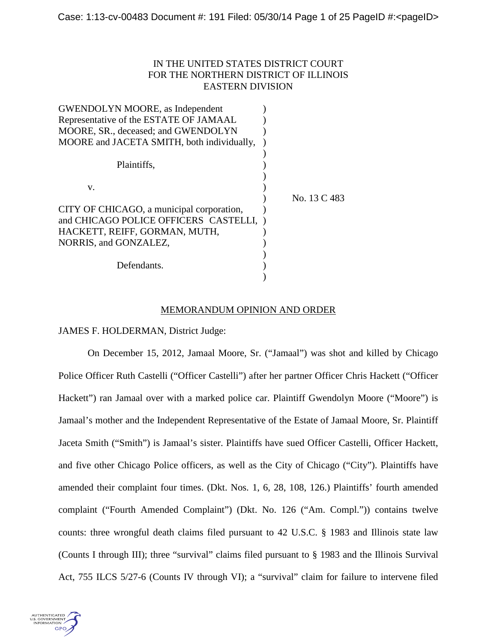# IN THE UNITED STATES DISTRICT COURT FOR THE NORTHERN DISTRICT OF ILLINOIS EASTERN DIVISION

| <b>GWENDOLYN MOORE, as Independent</b>     |              |
|--------------------------------------------|--------------|
| Representative of the ESTATE OF JAMAAL     |              |
| MOORE, SR., deceased; and GWENDOLYN        |              |
| MOORE and JACETA SMITH, both individually, |              |
|                                            |              |
| Plaintiffs,                                |              |
|                                            |              |
| V.                                         |              |
|                                            | No. 13 C 483 |
| CITY OF CHICAGO, a municipal corporation,  |              |
| and CHICAGO POLICE OFFICERS CASTELLI,      |              |
| HACKETT, REIFF, GORMAN, MUTH,              |              |
| NORRIS, and GONZALEZ,                      |              |
|                                            |              |
| Defendants.                                |              |
|                                            |              |
|                                            |              |

### MEMORANDUM OPINION AND ORDER

JAMES F. HOLDERMAN, District Judge:

On December 15, 2012, Jamaal Moore, Sr. ("Jamaal") was shot and killed by Chicago Police Officer Ruth Castelli ("Officer Castelli") after her partner Officer Chris Hackett ("Officer Hackett") ran Jamaal over with a marked police car. Plaintiff Gwendolyn Moore ("Moore") is Jamaal's mother and the Independent Representative of the Estate of Jamaal Moore, Sr. Plaintiff Jaceta Smith ("Smith") is Jamaal's sister. Plaintiffs have sued Officer Castelli, Officer Hackett, and five other Chicago Police officers, as well as the City of Chicago ("City"). Plaintiffs have amended their complaint four times. (Dkt. Nos. 1, 6, 28, 108, 126.) Plaintiffs' fourth amended complaint ("Fourth Amended Complaint") (Dkt. No. 126 ("Am. Compl.")) contains twelve counts: three wrongful death claims filed pursuant to 42 U.S.C. § 1983 and Illinois state law (Counts I through III); three "survival" claims filed pursuant to § 1983 and the Illinois Survival Act, 755 ILCS 5/27-6 (Counts IV through VI); a "survival" claim for failure to intervene filed

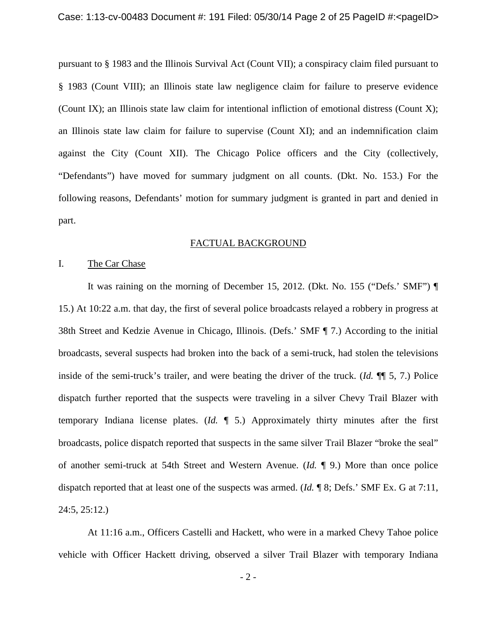pursuant to § 1983 and the Illinois Survival Act (Count VII); a conspiracy claim filed pursuant to § 1983 (Count VIII); an Illinois state law negligence claim for failure to preserve evidence (Count IX); an Illinois state law claim for intentional infliction of emotional distress (Count X); an Illinois state law claim for failure to supervise (Count XI); and an indemnification claim against the City (Count XII). The Chicago Police officers and the City (collectively, "Defendants") have moved for summary judgment on all counts. (Dkt. No. 153.) For the following reasons, Defendants' motion for summary judgment is granted in part and denied in part.

#### FACTUAL BACKGROUND

# I. The Car Chase

It was raining on the morning of December 15, 2012. (Dkt. No. 155 ("Defs.' SMF") ¶ 15.) At 10:22 a.m. that day, the first of several police broadcasts relayed a robbery in progress at 38th Street and Kedzie Avenue in Chicago, Illinois. (Defs.' SMF ¶ 7.) According to the initial broadcasts, several suspects had broken into the back of a semi-truck, had stolen the televisions inside of the semi-truck's trailer, and were beating the driver of the truck. (*Id.* ¶¶ 5, 7.) Police dispatch further reported that the suspects were traveling in a silver Chevy Trail Blazer with temporary Indiana license plates. (*Id.* ¶ 5.) Approximately thirty minutes after the first broadcasts, police dispatch reported that suspects in the same silver Trail Blazer "broke the seal" of another semi-truck at 54th Street and Western Avenue. (*Id.* ¶ 9.) More than once police dispatch reported that at least one of the suspects was armed. (*Id.* ¶ 8; Defs.' SMF Ex. G at 7:11, 24:5, 25:12.)

At 11:16 a.m., Officers Castelli and Hackett, who were in a marked Chevy Tahoe police vehicle with Officer Hackett driving, observed a silver Trail Blazer with temporary Indiana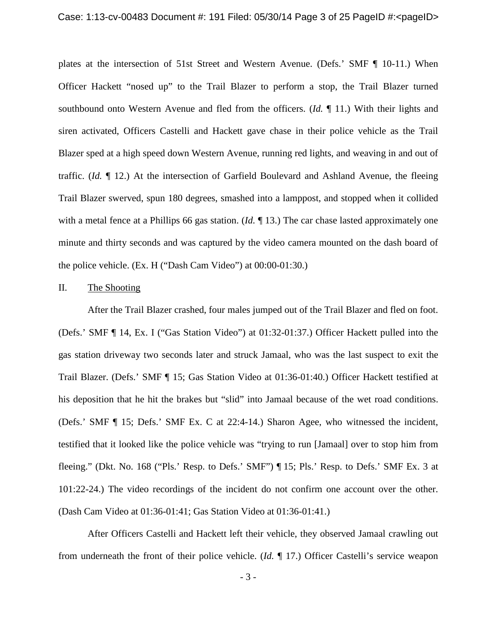plates at the intersection of 51st Street and Western Avenue. (Defs.' SMF ¶ 10-11.) When Officer Hackett "nosed up" to the Trail Blazer to perform a stop, the Trail Blazer turned southbound onto Western Avenue and fled from the officers. (*Id.* ¶ 11.) With their lights and siren activated, Officers Castelli and Hackett gave chase in their police vehicle as the Trail Blazer sped at a high speed down Western Avenue, running red lights, and weaving in and out of traffic. (*Id.* ¶ 12.) At the intersection of Garfield Boulevard and Ashland Avenue, the fleeing Trail Blazer swerved, spun 180 degrees, smashed into a lamppost, and stopped when it collided with a metal fence at a Phillips 66 gas station. (*Id.* ¶ 13.) The car chase lasted approximately one minute and thirty seconds and was captured by the video camera mounted on the dash board of the police vehicle. (Ex. H ("Dash Cam Video") at 00:00-01:30.)

### II. The Shooting

After the Trail Blazer crashed, four males jumped out of the Trail Blazer and fled on foot. (Defs.' SMF ¶ 14, Ex. I ("Gas Station Video") at 01:32-01:37.) Officer Hackett pulled into the gas station driveway two seconds later and struck Jamaal, who was the last suspect to exit the Trail Blazer. (Defs.' SMF ¶ 15; Gas Station Video at 01:36-01:40.) Officer Hackett testified at his deposition that he hit the brakes but "slid" into Jamaal because of the wet road conditions. (Defs.' SMF ¶ 15; Defs.' SMF Ex. C at 22:4-14.) Sharon Agee, who witnessed the incident, testified that it looked like the police vehicle was "trying to run [Jamaal] over to stop him from fleeing." (Dkt. No. 168 ("Pls.' Resp. to Defs.' SMF") ¶ 15; Pls.' Resp. to Defs.' SMF Ex. 3 at 101:22-24.) The video recordings of the incident do not confirm one account over the other. (Dash Cam Video at 01:36-01:41; Gas Station Video at 01:36-01:41.)

After Officers Castelli and Hackett left their vehicle, they observed Jamaal crawling out from underneath the front of their police vehicle. (*Id.* ¶ 17.) Officer Castelli's service weapon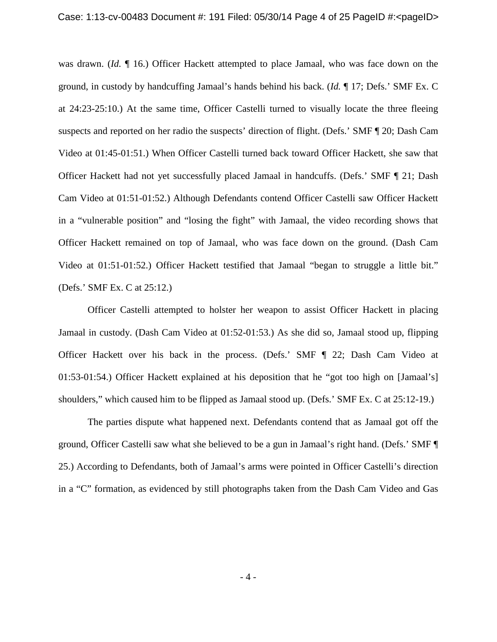was drawn. (*Id.* ¶ 16.) Officer Hackett attempted to place Jamaal, who was face down on the ground, in custody by handcuffing Jamaal's hands behind his back. (*Id.* ¶ 17; Defs.' SMF Ex. C at 24:23-25:10.) At the same time, Officer Castelli turned to visually locate the three fleeing suspects and reported on her radio the suspects' direction of flight. (Defs.' SMF ¶ 20; Dash Cam Video at 01:45-01:51.) When Officer Castelli turned back toward Officer Hackett, she saw that Officer Hackett had not yet successfully placed Jamaal in handcuffs. (Defs.' SMF ¶ 21; Dash Cam Video at 01:51-01:52.) Although Defendants contend Officer Castelli saw Officer Hackett in a "vulnerable position" and "losing the fight" with Jamaal, the video recording shows that Officer Hackett remained on top of Jamaal, who was face down on the ground. (Dash Cam Video at 01:51-01:52.) Officer Hackett testified that Jamaal "began to struggle a little bit." (Defs.' SMF Ex. C at 25:12.)

Officer Castelli attempted to holster her weapon to assist Officer Hackett in placing Jamaal in custody. (Dash Cam Video at 01:52-01:53.) As she did so, Jamaal stood up, flipping Officer Hackett over his back in the process. (Defs.' SMF ¶ 22; Dash Cam Video at 01:53-01:54.) Officer Hackett explained at his deposition that he "got too high on [Jamaal's] shoulders," which caused him to be flipped as Jamaal stood up. (Defs.' SMF Ex. C at 25:12-19.)

The parties dispute what happened next. Defendants contend that as Jamaal got off the ground, Officer Castelli saw what she believed to be a gun in Jamaal's right hand. (Defs.' SMF ¶ 25.) According to Defendants, both of Jamaal's arms were pointed in Officer Castelli's direction in a "C" formation, as evidenced by still photographs taken from the Dash Cam Video and Gas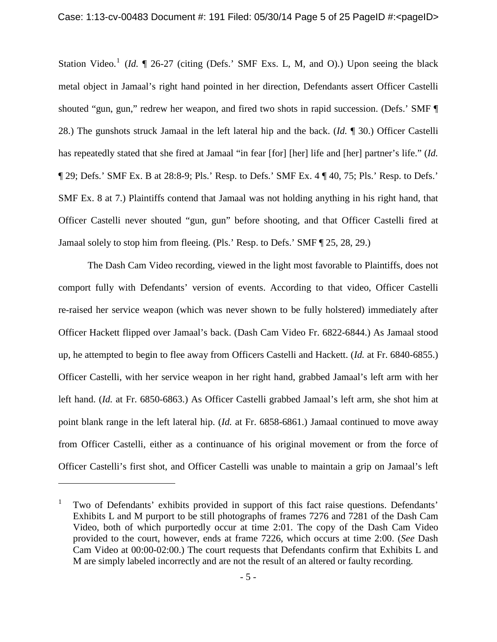Station Video.<sup>[1](#page-4-0)</sup> (*Id.* 1 26-27 (citing (Defs.' SMF Exs. L, M, and O).) Upon seeing the black metal object in Jamaal's right hand pointed in her direction, Defendants assert Officer Castelli shouted "gun, gun," redrew her weapon, and fired two shots in rapid succession. (Defs.' SMF ¶ 28.) The gunshots struck Jamaal in the left lateral hip and the back. (*Id.* ¶ 30.) Officer Castelli has repeatedly stated that she fired at Jamaal "in fear [for] [her] life and [her] partner's life." (*Id.* ¶ 29; Defs.' SMF Ex. B at 28:8-9; Pls.' Resp. to Defs.' SMF Ex. 4 ¶ 40, 75; Pls.' Resp. to Defs.' SMF Ex. 8 at 7.) Plaintiffs contend that Jamaal was not holding anything in his right hand, that Officer Castelli never shouted "gun, gun" before shooting, and that Officer Castelli fired at Jamaal solely to stop him from fleeing. (Pls.' Resp. to Defs.' SMF ¶ 25, 28, 29.)

The Dash Cam Video recording, viewed in the light most favorable to Plaintiffs, does not comport fully with Defendants' version of events. According to that video, Officer Castelli re-raised her service weapon (which was never shown to be fully holstered) immediately after Officer Hackett flipped over Jamaal's back. (Dash Cam Video Fr. 6822-6844.) As Jamaal stood up, he attempted to begin to flee away from Officers Castelli and Hackett. (*Id.* at Fr. 6840-6855.) Officer Castelli, with her service weapon in her right hand, grabbed Jamaal's left arm with her left hand. (*Id.* at Fr. 6850-6863.) As Officer Castelli grabbed Jamaal's left arm, she shot him at point blank range in the left lateral hip. (*Id.* at Fr. 6858-6861.) Jamaal continued to move away from Officer Castelli, either as a continuance of his original movement or from the force of Officer Castelli's first shot, and Officer Castelli was unable to maintain a grip on Jamaal's left

 $\overline{a}$ 

<span id="page-4-0"></span><sup>&</sup>lt;sup>1</sup> Two of Defendants' exhibits provided in support of this fact raise questions. Defendants' Exhibits L and M purport to be still photographs of frames 7276 and 7281 of the Dash Cam Video, both of which purportedly occur at time 2:01. The copy of the Dash Cam Video provided to the court, however, ends at frame 7226, which occurs at time 2:00. (*See* Dash Cam Video at 00:00-02:00.) The court requests that Defendants confirm that Exhibits L and M are simply labeled incorrectly and are not the result of an altered or faulty recording.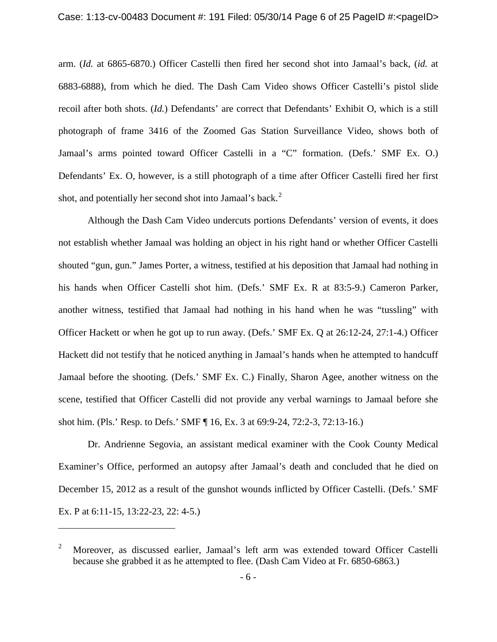arm. (*Id.* at 6865-6870.) Officer Castelli then fired her second shot into Jamaal's back, (*id.* at 6883-6888), from which he died. The Dash Cam Video shows Officer Castelli's pistol slide recoil after both shots. (*Id.*) Defendants' are correct that Defendants' Exhibit O, which is a still photograph of frame 3416 of the Zoomed Gas Station Surveillance Video, shows both of Jamaal's arms pointed toward Officer Castelli in a "C" formation. (Defs.' SMF Ex. O.) Defendants' Ex. O, however, is a still photograph of a time after Officer Castelli fired her first shot, and potentially her second shot into Jamaal's back.<sup>[2](#page-5-0)</sup>

Although the Dash Cam Video undercuts portions Defendants' version of events, it does not establish whether Jamaal was holding an object in his right hand or whether Officer Castelli shouted "gun, gun." James Porter, a witness, testified at his deposition that Jamaal had nothing in his hands when Officer Castelli shot him. (Defs.' SMF Ex. R at 83:5-9.) Cameron Parker, another witness, testified that Jamaal had nothing in his hand when he was "tussling" with Officer Hackett or when he got up to run away. (Defs.' SMF Ex. Q at 26:12-24, 27:1-4.) Officer Hackett did not testify that he noticed anything in Jamaal's hands when he attempted to handcuff Jamaal before the shooting. (Defs.' SMF Ex. C.) Finally, Sharon Agee, another witness on the scene, testified that Officer Castelli did not provide any verbal warnings to Jamaal before she shot him. (Pls.' Resp. to Defs.' SMF ¶ 16, Ex. 3 at 69:9-24, 72:2-3, 72:13-16.)

Dr. Andrienne Segovia, an assistant medical examiner with the Cook County Medical Examiner's Office, performed an autopsy after Jamaal's death and concluded that he died on December 15, 2012 as a result of the gunshot wounds inflicted by Officer Castelli. (Defs.' SMF Ex. P at 6:11-15, 13:22-23, 22: 4-5.)

 $\overline{a}$ 

<span id="page-5-0"></span><sup>&</sup>lt;sup>2</sup> Moreover, as discussed earlier, Jamaal's left arm was extended toward Officer Castelli because she grabbed it as he attempted to flee. (Dash Cam Video at Fr. 6850-6863.)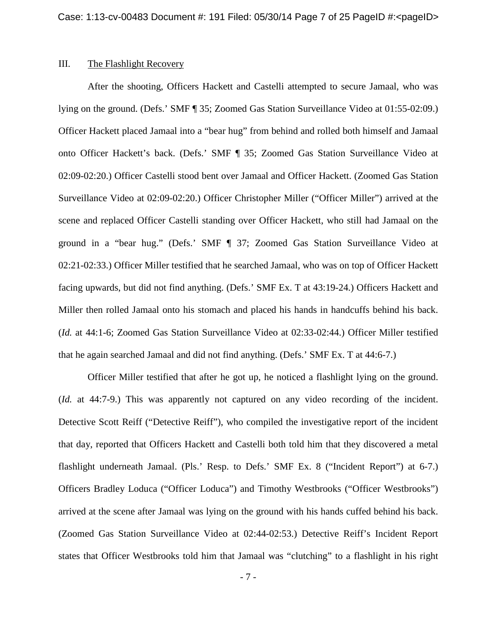## III. The Flashlight Recovery

After the shooting, Officers Hackett and Castelli attempted to secure Jamaal, who was lying on the ground. (Defs.' SMF ¶ 35; Zoomed Gas Station Surveillance Video at 01:55-02:09.) Officer Hackett placed Jamaal into a "bear hug" from behind and rolled both himself and Jamaal onto Officer Hackett's back. (Defs.' SMF ¶ 35; Zoomed Gas Station Surveillance Video at 02:09-02:20.) Officer Castelli stood bent over Jamaal and Officer Hackett. (Zoomed Gas Station Surveillance Video at 02:09-02:20.) Officer Christopher Miller ("Officer Miller") arrived at the scene and replaced Officer Castelli standing over Officer Hackett, who still had Jamaal on the ground in a "bear hug." (Defs.' SMF ¶ 37; Zoomed Gas Station Surveillance Video at 02:21-02:33.) Officer Miller testified that he searched Jamaal, who was on top of Officer Hackett facing upwards, but did not find anything. (Defs.' SMF Ex. T at 43:19-24.) Officers Hackett and Miller then rolled Jamaal onto his stomach and placed his hands in handcuffs behind his back. (*Id.* at 44:1-6; Zoomed Gas Station Surveillance Video at 02:33-02:44.) Officer Miller testified that he again searched Jamaal and did not find anything. (Defs.' SMF Ex. T at 44:6-7.)

Officer Miller testified that after he got up, he noticed a flashlight lying on the ground. (*Id.* at 44:7-9.) This was apparently not captured on any video recording of the incident. Detective Scott Reiff ("Detective Reiff"), who compiled the investigative report of the incident that day, reported that Officers Hackett and Castelli both told him that they discovered a metal flashlight underneath Jamaal. (Pls.' Resp. to Defs.' SMF Ex. 8 ("Incident Report") at 6-7.) Officers Bradley Loduca ("Officer Loduca") and Timothy Westbrooks ("Officer Westbrooks") arrived at the scene after Jamaal was lying on the ground with his hands cuffed behind his back. (Zoomed Gas Station Surveillance Video at 02:44-02:53.) Detective Reiff's Incident Report states that Officer Westbrooks told him that Jamaal was "clutching" to a flashlight in his right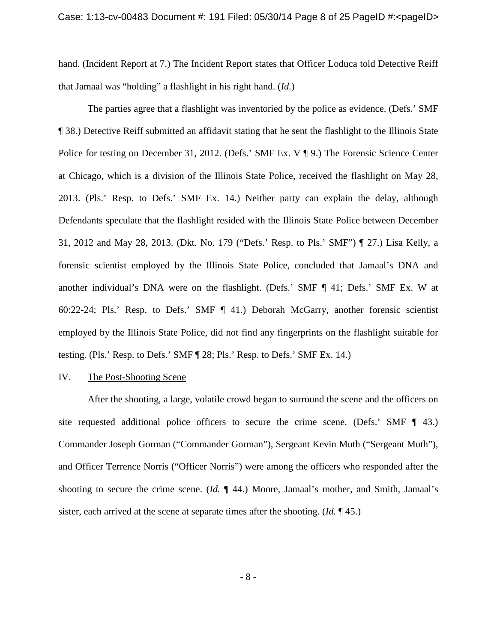hand. (Incident Report at 7.) The Incident Report states that Officer Loduca told Detective Reiff that Jamaal was "holding" a flashlight in his right hand. (*Id.*)

The parties agree that a flashlight was inventoried by the police as evidence. (Defs.' SMF ¶ 38.) Detective Reiff submitted an affidavit stating that he sent the flashlight to the Illinois State Police for testing on December 31, 2012. (Defs.' SMF Ex. V ¶ 9.) The Forensic Science Center at Chicago, which is a division of the Illinois State Police, received the flashlight on May 28, 2013. (Pls.' Resp. to Defs.' SMF Ex. 14.) Neither party can explain the delay, although Defendants speculate that the flashlight resided with the Illinois State Police between December 31, 2012 and May 28, 2013. (Dkt. No. 179 ("Defs.' Resp. to Pls.' SMF") ¶ 27.) Lisa Kelly, a forensic scientist employed by the Illinois State Police, concluded that Jamaal's DNA and another individual's DNA were on the flashlight. (Defs.' SMF ¶ 41; Defs.' SMF Ex. W at 60:22-24; Pls.' Resp. to Defs.' SMF ¶ 41.) Deborah McGarry, another forensic scientist employed by the Illinois State Police, did not find any fingerprints on the flashlight suitable for testing. (Pls.' Resp. to Defs.' SMF ¶ 28; Pls.' Resp. to Defs.' SMF Ex. 14.)

#### IV. The Post-Shooting Scene

After the shooting, a large, volatile crowd began to surround the scene and the officers on site requested additional police officers to secure the crime scene. (Defs.' SMF ¶ 43.) Commander Joseph Gorman ("Commander Gorman"), Sergeant Kevin Muth ("Sergeant Muth"), and Officer Terrence Norris ("Officer Norris") were among the officers who responded after the shooting to secure the crime scene. (*Id.* ¶ 44.) Moore, Jamaal's mother, and Smith, Jamaal's sister, each arrived at the scene at separate times after the shooting. (*Id.* ¶ 45.)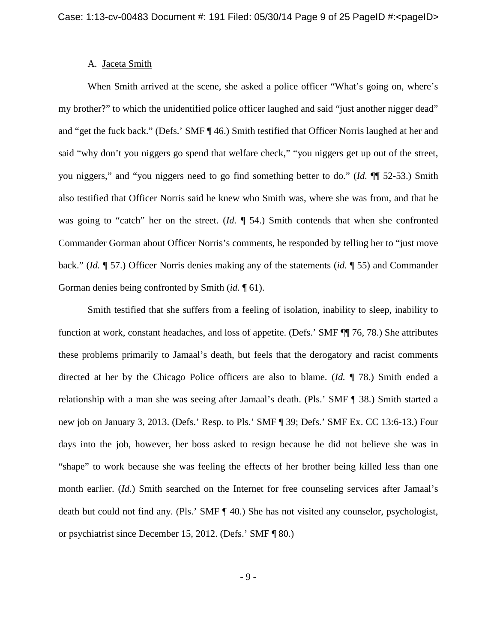### A. Jaceta Smith

When Smith arrived at the scene, she asked a police officer "What's going on, where's my brother?" to which the unidentified police officer laughed and said "just another nigger dead" and "get the fuck back." (Defs.' SMF ¶ 46.) Smith testified that Officer Norris laughed at her and said "why don't you niggers go spend that welfare check," "you niggers get up out of the street, you niggers," and "you niggers need to go find something better to do." (*Id.* ¶¶ 52-53.) Smith also testified that Officer Norris said he knew who Smith was, where she was from, and that he was going to "catch" her on the street. (*Id.* ¶ 54.) Smith contends that when she confronted Commander Gorman about Officer Norris's comments, he responded by telling her to "just move back." (*Id.* ¶ 57.) Officer Norris denies making any of the statements (*id.* ¶ 55) and Commander Gorman denies being confronted by Smith (*id.* ¶ 61).

Smith testified that she suffers from a feeling of isolation, inability to sleep, inability to function at work, constant headaches, and loss of appetite. (Defs.' SMF ¶¶ 76, 78.) She attributes these problems primarily to Jamaal's death, but feels that the derogatory and racist comments directed at her by the Chicago Police officers are also to blame. (*Id.* ¶ 78.) Smith ended a relationship with a man she was seeing after Jamaal's death. (Pls.' SMF ¶ 38.) Smith started a new job on January 3, 2013. (Defs.' Resp. to Pls.' SMF ¶ 39; Defs.' SMF Ex. CC 13:6-13.) Four days into the job, however, her boss asked to resign because he did not believe she was in "shape" to work because she was feeling the effects of her brother being killed less than one month earlier. (*Id.*) Smith searched on the Internet for free counseling services after Jamaal's death but could not find any. (Pls.' SMF ¶ 40.) She has not visited any counselor, psychologist, or psychiatrist since December 15, 2012. (Defs.' SMF ¶ 80.)

- 9 -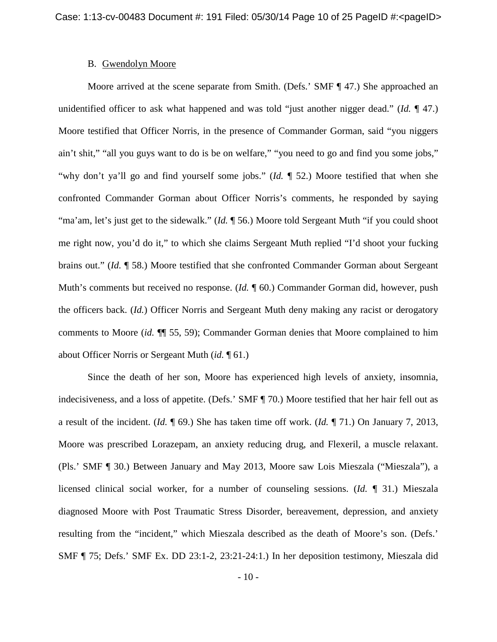### B. Gwendolyn Moore

Moore arrived at the scene separate from Smith. (Defs.' SMF ¶ 47.) She approached an unidentified officer to ask what happened and was told "just another nigger dead." (*Id.* ¶ 47.) Moore testified that Officer Norris, in the presence of Commander Gorman, said "you niggers ain't shit," "all you guys want to do is be on welfare," "you need to go and find you some jobs," "why don't ya'll go and find yourself some jobs." (*Id.* ¶ 52.) Moore testified that when she confronted Commander Gorman about Officer Norris's comments, he responded by saying "ma'am, let's just get to the sidewalk." (*Id.* ¶ 56.) Moore told Sergeant Muth "if you could shoot me right now, you'd do it," to which she claims Sergeant Muth replied "I'd shoot your fucking brains out." (*Id.* ¶ 58.) Moore testified that she confronted Commander Gorman about Sergeant Muth's comments but received no response. (*Id.*  $\P$  60.) Commander Gorman did, however, push the officers back. (*Id.*) Officer Norris and Sergeant Muth deny making any racist or derogatory comments to Moore (*id.* ¶¶ 55, 59); Commander Gorman denies that Moore complained to him about Officer Norris or Sergeant Muth (*id.* ¶ 61.)

Since the death of her son, Moore has experienced high levels of anxiety, insomnia, indecisiveness, and a loss of appetite. (Defs.' SMF ¶ 70.) Moore testified that her hair fell out as a result of the incident. (*Id.* ¶ 69.) She has taken time off work. (*Id.* ¶ 71.) On January 7, 2013, Moore was prescribed Lorazepam, an anxiety reducing drug, and Flexeril, a muscle relaxant. (Pls.' SMF ¶ 30.) Between January and May 2013, Moore saw Lois Mieszala ("Mieszala"), a licensed clinical social worker, for a number of counseling sessions. (*Id.* ¶ 31.) Mieszala diagnosed Moore with Post Traumatic Stress Disorder, bereavement, depression, and anxiety resulting from the "incident," which Mieszala described as the death of Moore's son. (Defs.' SMF ¶ 75; Defs.' SMF Ex. DD 23:1-2, 23:21-24:1.) In her deposition testimony, Mieszala did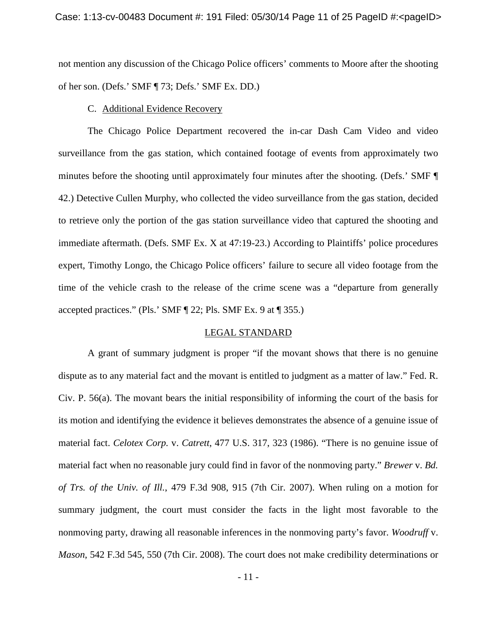not mention any discussion of the Chicago Police officers' comments to Moore after the shooting of her son. (Defs.' SMF ¶ 73; Defs.' SMF Ex. DD.)

#### C. Additional Evidence Recovery

The Chicago Police Department recovered the in-car Dash Cam Video and video surveillance from the gas station, which contained footage of events from approximately two minutes before the shooting until approximately four minutes after the shooting. (Defs.' SMF ¶ 42.) Detective Cullen Murphy, who collected the video surveillance from the gas station, decided to retrieve only the portion of the gas station surveillance video that captured the shooting and immediate aftermath. (Defs. SMF Ex. X at 47:19-23.) According to Plaintiffs' police procedures expert, Timothy Longo, the Chicago Police officers' failure to secure all video footage from the time of the vehicle crash to the release of the crime scene was a "departure from generally accepted practices." (Pls.' SMF ¶ 22; Pls. SMF Ex. 9 at ¶ 355.)

### LEGAL STANDARD

A grant of summary judgment is proper "if the movant shows that there is no genuine dispute as to any material fact and the movant is entitled to judgment as a matter of law." Fed. R. Civ. P. 56(a). The movant bears the initial responsibility of informing the court of the basis for its motion and identifying the evidence it believes demonstrates the absence of a genuine issue of material fact. *Celotex Corp.* v. *Catrett*, 477 U.S. 317, 323 (1986). "There is no genuine issue of material fact when no reasonable jury could find in favor of the nonmoving party." *Brewer* v. *Bd. of Trs. of the Univ. of Ill.*, 479 F.3d 908, 915 (7th Cir. 2007). When ruling on a motion for summary judgment, the court must consider the facts in the light most favorable to the nonmoving party, drawing all reasonable inferences in the nonmoving party's favor. *Woodruff* v. *Mason*, 542 F.3d 545, 550 (7th Cir. 2008). The court does not make credibility determinations or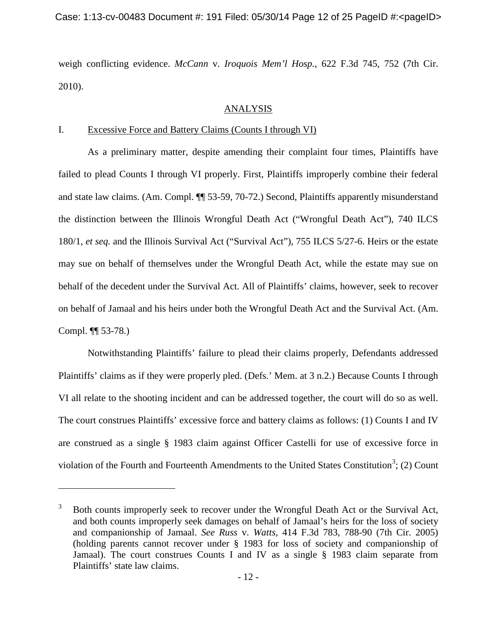weigh conflicting evidence. *McCann* v. *Iroquois Mem'l Hosp.*, 622 F.3d 745, 752 (7th Cir. 2010).

# ANALYSIS

# I. Excessive Force and Battery Claims (Counts I through VI)

As a preliminary matter, despite amending their complaint four times, Plaintiffs have failed to plead Counts I through VI properly. First, Plaintiffs improperly combine their federal and state law claims. (Am. Compl. ¶¶ 53-59, 70-72.) Second, Plaintiffs apparently misunderstand the distinction between the Illinois Wrongful Death Act ("Wrongful Death Act"), 740 ILCS 180/1, *et seq.* and the Illinois Survival Act ("Survival Act"), 755 ILCS 5/27-6. Heirs or the estate may sue on behalf of themselves under the Wrongful Death Act, while the estate may sue on behalf of the decedent under the Survival Act. All of Plaintiffs' claims, however, seek to recover on behalf of Jamaal and his heirs under both the Wrongful Death Act and the Survival Act. (Am. Compl. ¶¶ 53-78.)

Notwithstanding Plaintiffs' failure to plead their claims properly, Defendants addressed Plaintiffs' claims as if they were properly pled. (Defs.' Mem. at 3 n.2.) Because Counts I through VI all relate to the shooting incident and can be addressed together, the court will do so as well. The court construes Plaintiffs' excessive force and battery claims as follows: (1) Counts I and IV are construed as a single § 1983 claim against Officer Castelli for use of excessive force in violation of the Fourth and Fourteenth Amendments to the United States Constitution<sup>[3](#page-11-0)</sup>; (2) Count

 $\overline{a}$ 

<span id="page-11-0"></span><sup>3</sup> Both counts improperly seek to recover under the Wrongful Death Act or the Survival Act, and both counts improperly seek damages on behalf of Jamaal's heirs for the loss of society and companionship of Jamaal. *See Russ* v. *Watts*, 414 F.3d 783, 788-90 (7th Cir. 2005) (holding parents cannot recover under § 1983 for loss of society and companionship of Jamaal). The court construes Counts I and IV as a single § 1983 claim separate from Plaintiffs' state law claims.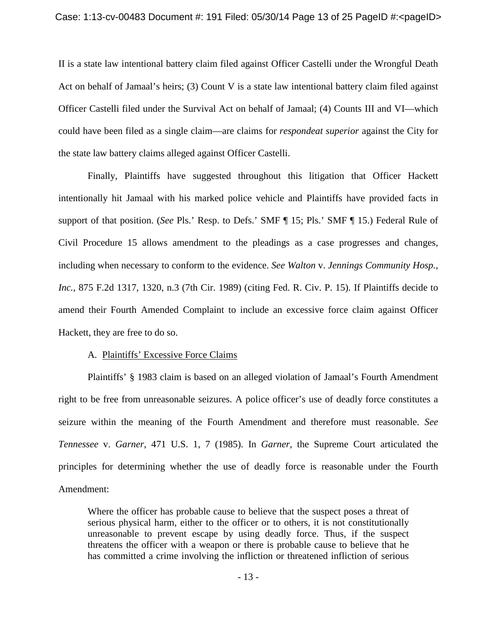II is a state law intentional battery claim filed against Officer Castelli under the Wrongful Death Act on behalf of Jamaal's heirs; (3) Count V is a state law intentional battery claim filed against Officer Castelli filed under the Survival Act on behalf of Jamaal; (4) Counts III and VI—which could have been filed as a single claim—are claims for *respondeat superior* against the City for the state law battery claims alleged against Officer Castelli.

Finally, Plaintiffs have suggested throughout this litigation that Officer Hackett intentionally hit Jamaal with his marked police vehicle and Plaintiffs have provided facts in support of that position. (*See* Pls.' Resp. to Defs.' SMF ¶ 15; Pls.' SMF ¶ 15.) Federal Rule of Civil Procedure 15 allows amendment to the pleadings as a case progresses and changes, including when necessary to conform to the evidence. *See Walton* v. *Jennings Community Hosp., Inc.*, 875 F.2d 1317, 1320, n.3 (7th Cir. 1989) (citing Fed. R. Civ. P. 15). If Plaintiffs decide to amend their Fourth Amended Complaint to include an excessive force claim against Officer Hackett, they are free to do so.

#### A. Plaintiffs' Excessive Force Claims

Plaintiffs' § 1983 claim is based on an alleged violation of Jamaal's Fourth Amendment right to be free from unreasonable seizures. A police officer's use of deadly force constitutes a seizure within the meaning of the Fourth Amendment and therefore must reasonable. *See Tennessee* v. *Garner*, 471 U.S. 1, 7 (1985). In *Garner*, the Supreme Court articulated the principles for determining whether the use of deadly force is reasonable under the Fourth Amendment:

Where the officer has probable cause to believe that the suspect poses a threat of serious physical harm, either to the officer or to others, it is not constitutionally unreasonable to prevent escape by using deadly force. Thus, if the suspect threatens the officer with a weapon or there is probable cause to believe that he has committed a crime involving the infliction or threatened infliction of serious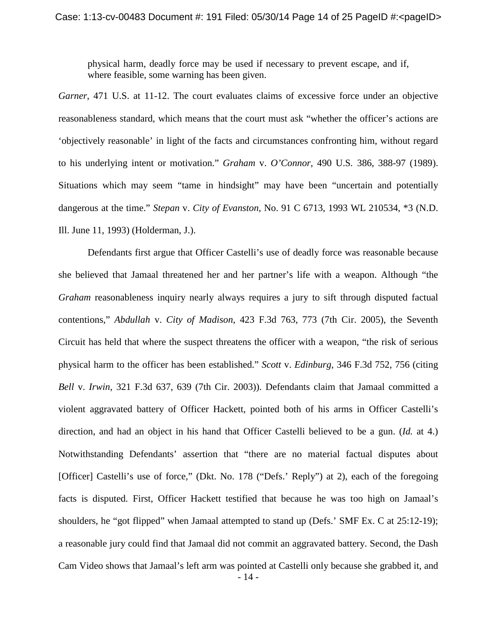physical harm, deadly force may be used if necessary to prevent escape, and if, where feasible, some warning has been given.

*Garner*, 471 U.S. at 11-12. The court evaluates claims of excessive force under an objective reasonableness standard, which means that the court must ask "whether the officer's actions are 'objectively reasonable' in light of the facts and circumstances confronting him, without regard to his underlying intent or motivation." *Graham* v. *O'Connor*, 490 U.S*.* 386, 388-97 (1989). Situations which may seem "tame in hindsight" may have been "uncertain and potentially dangerous at the time." *Stepan* v. *City of Evanston*, No. 91 C 6713, 1993 WL 210534, \*3 (N.D. Ill. June 11, 1993) (Holderman, J.).

Defendants first argue that Officer Castelli's use of deadly force was reasonable because she believed that Jamaal threatened her and her partner's life with a weapon. Although "the *Graham* reasonableness inquiry nearly always requires a jury to sift through disputed factual contentions," *Abdullah* v. *City of Madison*, 423 F.3d 763, 773 (7th Cir. 2005), the Seventh Circuit has held that where the suspect threatens the officer with a weapon, "the risk of serious physical harm to the officer has been established." *Scott* v. *Edinburg*, 346 F.3d 752, 756 (citing *Bell* v. *Irwin*, 321 F.3d 637, 639 (7th Cir. 2003)). Defendants claim that Jamaal committed a violent aggravated battery of Officer Hackett, pointed both of his arms in Officer Castelli's direction, and had an object in his hand that Officer Castelli believed to be a gun. (*Id.* at 4.) Notwithstanding Defendants' assertion that "there are no material factual disputes about [Officer] Castelli's use of force," (Dkt. No. 178 ("Defs.' Reply") at 2), each of the foregoing facts is disputed. First, Officer Hackett testified that because he was too high on Jamaal's shoulders, he "got flipped" when Jamaal attempted to stand up (Defs.' SMF Ex. C at 25:12-19); a reasonable jury could find that Jamaal did not commit an aggravated battery. Second, the Dash Cam Video shows that Jamaal's left arm was pointed at Castelli only because she grabbed it, and - 14 -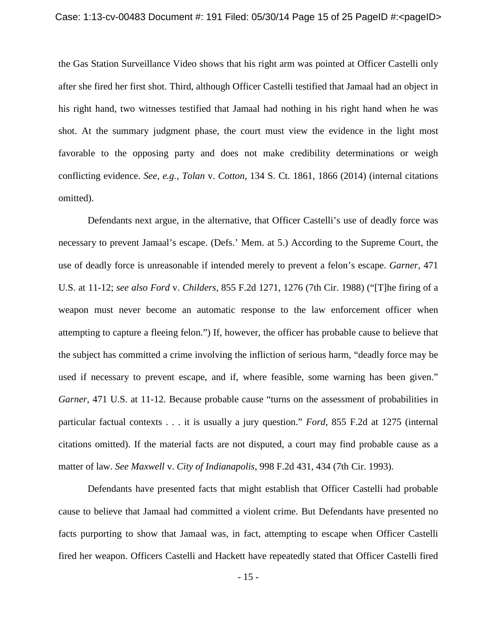the Gas Station Surveillance Video shows that his right arm was pointed at Officer Castelli only after she fired her first shot. Third, although Officer Castelli testified that Jamaal had an object in his right hand, two witnesses testified that Jamaal had nothing in his right hand when he was shot. At the summary judgment phase, the court must view the evidence in the light most favorable to the opposing party and does not make credibility determinations or weigh conflicting evidence. *See, e.g.*, *Tolan* v. *Cotton*, 134 S. Ct. 1861, 1866 (2014) (internal citations omitted).

Defendants next argue, in the alternative, that Officer Castelli's use of deadly force was necessary to prevent Jamaal's escape. (Defs.' Mem. at 5.) According to the Supreme Court, the use of deadly force is unreasonable if intended merely to prevent a felon's escape. *Garner*, 471 U.S. at 11-12; *see also Ford* v. *Childers*, 855 F.2d 1271, 1276 (7th Cir. 1988) ("[T]he firing of a weapon must never become an automatic response to the law enforcement officer when attempting to capture a fleeing felon.") If, however, the officer has probable cause to believe that the subject has committed a crime involving the infliction of serious harm, "deadly force may be used if necessary to prevent escape, and if, where feasible, some warning has been given." *Garner*, 471 U.S. at 11-12. Because probable cause "turns on the assessment of probabilities in particular factual contexts . . . it is usually a jury question." *Ford*, 855 F.2d at 1275 (internal citations omitted). If the material facts are not disputed, a court may find probable cause as a matter of law. *See Maxwell* v. *City of Indianapolis*, 998 F.2d 431, 434 (7th Cir. 1993).

Defendants have presented facts that might establish that Officer Castelli had probable cause to believe that Jamaal had committed a violent crime. But Defendants have presented no facts purporting to show that Jamaal was, in fact, attempting to escape when Officer Castelli fired her weapon. Officers Castelli and Hackett have repeatedly stated that Officer Castelli fired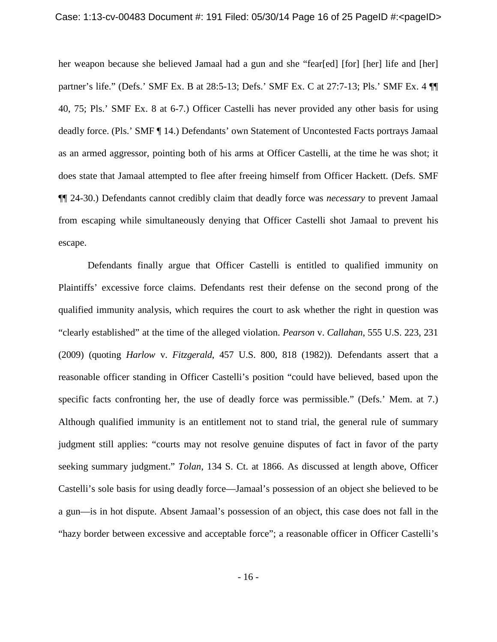her weapon because she believed Jamaal had a gun and she "fear[ed] [for] [her] life and [her] partner's life." (Defs.' SMF Ex. B at 28:5-13; Defs.' SMF Ex. C at 27:7-13; Pls.' SMF Ex. 4 ¶¶ 40, 75; Pls.' SMF Ex. 8 at 6-7.) Officer Castelli has never provided any other basis for using deadly force. (Pls.' SMF ¶ 14.) Defendants' own Statement of Uncontested Facts portrays Jamaal as an armed aggressor, pointing both of his arms at Officer Castelli, at the time he was shot; it does state that Jamaal attempted to flee after freeing himself from Officer Hackett. (Defs. SMF ¶¶ 24-30.) Defendants cannot credibly claim that deadly force was *necessary* to prevent Jamaal from escaping while simultaneously denying that Officer Castelli shot Jamaal to prevent his escape.

Defendants finally argue that Officer Castelli is entitled to qualified immunity on Plaintiffs' excessive force claims. Defendants rest their defense on the second prong of the qualified immunity analysis, which requires the court to ask whether the right in question was "clearly established" at the time of the alleged violation. *Pearson* v. *Callahan*, 555 U.S. 223, 231 (2009) (quoting *Harlow* v. *Fitzgerald*, 457 U.S. 800, 818 (1982)). Defendants assert that a reasonable officer standing in Officer Castelli's position "could have believed, based upon the specific facts confronting her, the use of deadly force was permissible." (Defs.' Mem. at 7.) Although qualified immunity is an entitlement not to stand trial, the general rule of summary judgment still applies: "courts may not resolve genuine disputes of fact in favor of the party seeking summary judgment." *Tolan*, 134 S. Ct. at 1866. As discussed at length above, Officer Castelli's sole basis for using deadly force—Jamaal's possession of an object she believed to be a gun—is in hot dispute. Absent Jamaal's possession of an object, this case does not fall in the "hazy border between excessive and acceptable force"; a reasonable officer in Officer Castelli's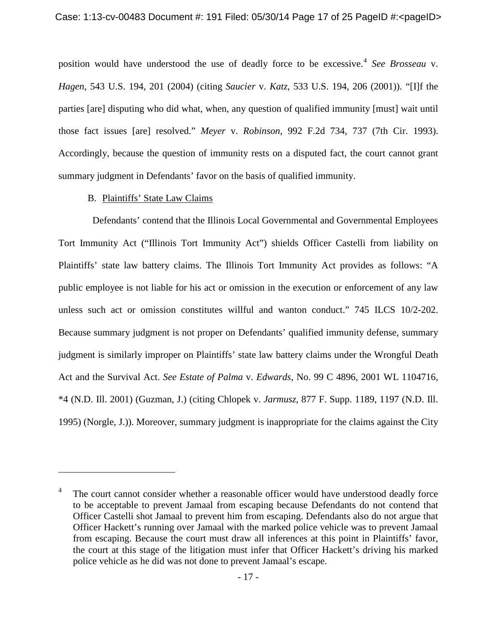position would have understood the use of deadly force to be excessive.[4](#page-16-0) *See Brosseau* v. *Hagen*, 543 U.S. 194, 201 (2004) (citing *Saucier* v. *Katz*, 533 U.S. 194, 206 (2001)). "[I]f the parties [are] disputing who did what, when, any question of qualified immunity [must] wait until those fact issues [are] resolved." *Meyer* v. *Robinson*, 992 F.2d 734, 737 (7th Cir. 1993). Accordingly, because the question of immunity rests on a disputed fact, the court cannot grant summary judgment in Defendants' favor on the basis of qualified immunity.

# B. Plaintiffs' State Law Claims

 $\overline{a}$ 

Defendants' contend that the Illinois Local Governmental and Governmental Employees Tort Immunity Act ("Illinois Tort Immunity Act") shields Officer Castelli from liability on Plaintiffs' state law battery claims. The Illinois Tort Immunity Act provides as follows: "A public employee is not liable for his act or omission in the execution or enforcement of any law unless such act or omission constitutes willful and wanton conduct." 745 ILCS 10/2-202. Because summary judgment is not proper on Defendants' qualified immunity defense, summary judgment is similarly improper on Plaintiffs' state law battery claims under the Wrongful Death Act and the Survival Act. *See Estate of Palma* v. *Edwards*, No. 99 C 4896, 2001 WL 1104716, \*4 (N.D. Ill. 2001) (Guzman, J.) (citing Chlopek v. *Jarmusz*, 877 F. Supp. 1189, 1197 (N.D. Ill. 1995) (Norgle, J.)). Moreover, summary judgment is inappropriate for the claims against the City

<span id="page-16-0"></span><sup>&</sup>lt;sup>4</sup> The court cannot consider whether a reasonable officer would have understood deadly force to be acceptable to prevent Jamaal from escaping because Defendants do not contend that Officer Castelli shot Jamaal to prevent him from escaping. Defendants also do not argue that Officer Hackett's running over Jamaal with the marked police vehicle was to prevent Jamaal from escaping. Because the court must draw all inferences at this point in Plaintiffs' favor, the court at this stage of the litigation must infer that Officer Hackett's driving his marked police vehicle as he did was not done to prevent Jamaal's escape.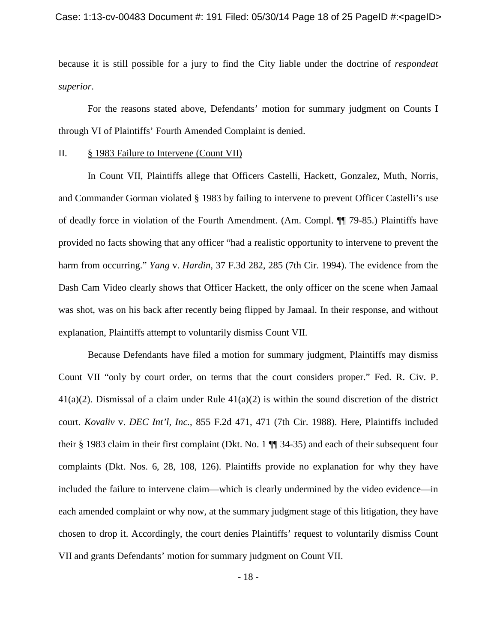because it is still possible for a jury to find the City liable under the doctrine of *respondeat superior*.

For the reasons stated above, Defendants' motion for summary judgment on Counts I through VI of Plaintiffs' Fourth Amended Complaint is denied.

#### II. § 1983 Failure to Intervene (Count VII)

In Count VII, Plaintiffs allege that Officers Castelli, Hackett, Gonzalez, Muth, Norris, and Commander Gorman violated § 1983 by failing to intervene to prevent Officer Castelli's use of deadly force in violation of the Fourth Amendment. (Am. Compl. ¶¶ 79-85.) Plaintiffs have provided no facts showing that any officer "had a realistic opportunity to intervene to prevent the harm from occurring." *Yang* v. *Hardin*, 37 F.3d 282, 285 (7th Cir. 1994). The evidence from the Dash Cam Video clearly shows that Officer Hackett, the only officer on the scene when Jamaal was shot, was on his back after recently being flipped by Jamaal. In their response, and without explanation, Plaintiffs attempt to voluntarily dismiss Count VII.

Because Defendants have filed a motion for summary judgment, Plaintiffs may dismiss Count VII "only by court order, on terms that the court considers proper." Fed. R. Civ. P. 41(a)(2). Dismissal of a claim under Rule 41(a)(2) is within the sound discretion of the district court. *Kovaliv* v. *DEC Int'l, Inc.*, 855 F.2d 471, 471 (7th Cir. 1988). Here, Plaintiffs included their § 1983 claim in their first complaint (Dkt. No. 1 ¶¶ 34-35) and each of their subsequent four complaints (Dkt. Nos. 6, 28, 108, 126). Plaintiffs provide no explanation for why they have included the failure to intervene claim—which is clearly undermined by the video evidence—in each amended complaint or why now, at the summary judgment stage of this litigation, they have chosen to drop it. Accordingly, the court denies Plaintiffs' request to voluntarily dismiss Count VII and grants Defendants' motion for summary judgment on Count VII.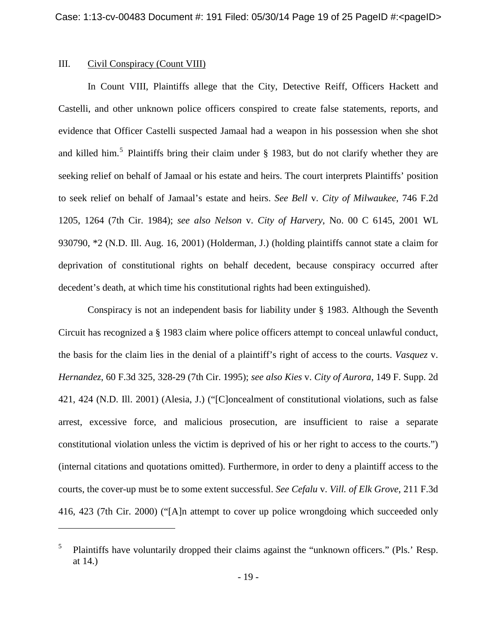# III. Civil Conspiracy (Count VIII)

 $\overline{a}$ 

In Count VIII, Plaintiffs allege that the City, Detective Reiff, Officers Hackett and Castelli, and other unknown police officers conspired to create false statements, reports, and evidence that Officer Castelli suspected Jamaal had a weapon in his possession when she shot and killed him.<sup>[5](#page-18-0)</sup> Plaintiffs bring their claim under  $\S$  1983, but do not clarify whether they are seeking relief on behalf of Jamaal or his estate and heirs. The court interprets Plaintiffs' position to seek relief on behalf of Jamaal's estate and heirs. *See Bell* v. *City of Milwaukee*, 746 F.2d 1205, 1264 (7th Cir. 1984); *see also Nelson* v. *City of Harvery*, No. 00 C 6145, 2001 WL 930790, \*2 (N.D. Ill. Aug. 16, 2001) (Holderman, J.) (holding plaintiffs cannot state a claim for deprivation of constitutional rights on behalf decedent, because conspiracy occurred after decedent's death, at which time his constitutional rights had been extinguished).

Conspiracy is not an independent basis for liability under § 1983. Although the Seventh Circuit has recognized a § 1983 claim where police officers attempt to conceal unlawful conduct, the basis for the claim lies in the denial of a plaintiff's right of access to the courts. *Vasquez* v. *Hernandez*, 60 F.3d 325, 328-29 (7th Cir. 1995); *see also Kies* v. *City of Aurora*, 149 F. Supp. 2d 421, 424 (N.D. Ill. 2001) (Alesia, J.) ("[C]oncealment of constitutional violations, such as false arrest, excessive force, and malicious prosecution, are insufficient to raise a separate constitutional violation unless the victim is deprived of his or her right to access to the courts.") (internal citations and quotations omitted). Furthermore, in order to deny a plaintiff access to the courts, the cover-up must be to some extent successful. *See Cefalu* v. *Vill. of Elk Grove*, 211 F.3d 416, 423 (7th Cir. 2000) ("[A]n attempt to cover up police wrongdoing which succeeded only

<span id="page-18-0"></span><sup>&</sup>lt;sup>5</sup> Plaintiffs have voluntarily dropped their claims against the "unknown officers." (Pls.' Resp. at 14.)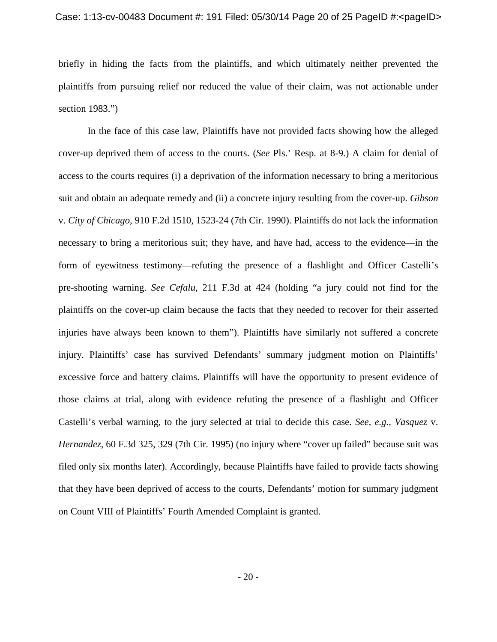briefly in hiding the facts from the plaintiffs, and which ultimately neither prevented the plaintiffs from pursuing relief nor reduced the value of their claim, was not actionable under section 1983.")

In the face of this case law, Plaintiffs have not provided facts showing how the alleged cover-up deprived them of access to the courts. (*See* Pls.' Resp. at 8-9.) A claim for denial of access to the courts requires (i) a deprivation of the information necessary to bring a meritorious suit and obtain an adequate remedy and (ii) a concrete injury resulting from the cover-up. *Gibson* v. *City of Chicago*, 910 F.2d 1510, 1523-24 (7th Cir. 1990). Plaintiffs do not lack the information necessary to bring a meritorious suit; they have, and have had, access to the evidence—in the form of eyewitness testimony—refuting the presence of a flashlight and Officer Castelli's pre-shooting warning. *See Cefalu*, 211 F.3d at 424 (holding "a jury could not find for the plaintiffs on the cover-up claim because the facts that they needed to recover for their asserted injuries have always been known to them"). Plaintiffs have similarly not suffered a concrete injury. Plaintiffs' case has survived Defendants' summary judgment motion on Plaintiffs' excessive force and battery claims. Plaintiffs will have the opportunity to present evidence of those claims at trial, along with evidence refuting the presence of a flashlight and Officer Castelli's verbal warning, to the jury selected at trial to decide this case. *See, e.g.*, *Vasquez* v. *Hernandez*, 60 F.3d 325, 329 (7th Cir. 1995) (no injury where "cover up failed" because suit was filed only six months later). Accordingly, because Plaintiffs have failed to provide facts showing that they have been deprived of access to the courts, Defendants' motion for summary judgment on Count VIII of Plaintiffs' Fourth Amended Complaint is granted.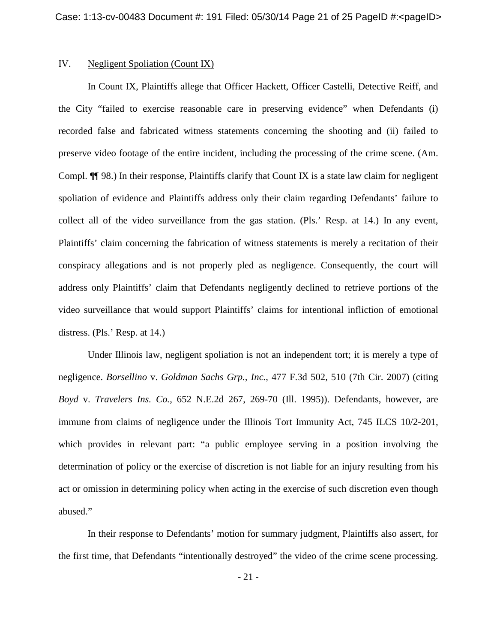### IV. Negligent Spoliation (Count IX)

In Count IX, Plaintiffs allege that Officer Hackett, Officer Castelli, Detective Reiff, and the City "failed to exercise reasonable care in preserving evidence" when Defendants (i) recorded false and fabricated witness statements concerning the shooting and (ii) failed to preserve video footage of the entire incident, including the processing of the crime scene. (Am. Compl. ¶¶ 98.) In their response, Plaintiffs clarify that Count IX is a state law claim for negligent spoliation of evidence and Plaintiffs address only their claim regarding Defendants' failure to collect all of the video surveillance from the gas station. (Pls.' Resp. at 14.) In any event, Plaintiffs' claim concerning the fabrication of witness statements is merely a recitation of their conspiracy allegations and is not properly pled as negligence. Consequently, the court will address only Plaintiffs' claim that Defendants negligently declined to retrieve portions of the video surveillance that would support Plaintiffs' claims for intentional infliction of emotional distress. (Pls.' Resp. at 14.)

Under Illinois law, negligent spoliation is not an independent tort; it is merely a type of negligence. *Borsellino* v. *Goldman Sachs Grp., Inc.*, 477 F.3d 502, 510 (7th Cir. 2007) (citing *Boyd* v. *Travelers Ins. Co.*, 652 N.E.2d 267, 269-70 (Ill. 1995)). Defendants, however, are immune from claims of negligence under the Illinois Tort Immunity Act, 745 ILCS 10/2-201, which provides in relevant part: "a public employee serving in a position involving the determination of policy or the exercise of discretion is not liable for an injury resulting from his act or omission in determining policy when acting in the exercise of such discretion even though abused."

In their response to Defendants' motion for summary judgment, Plaintiffs also assert, for the first time, that Defendants "intentionally destroyed" the video of the crime scene processing.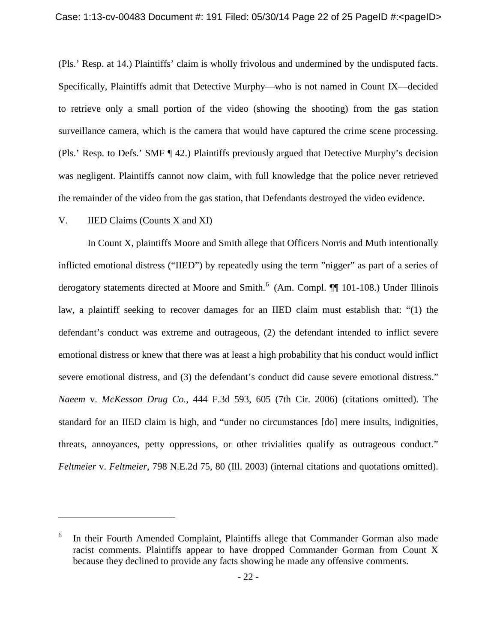(Pls.' Resp. at 14.) Plaintiffs' claim is wholly frivolous and undermined by the undisputed facts. Specifically, Plaintiffs admit that Detective Murphy—who is not named in Count IX—decided to retrieve only a small portion of the video (showing the shooting) from the gas station surveillance camera, which is the camera that would have captured the crime scene processing. (Pls.' Resp. to Defs.' SMF ¶ 42.) Plaintiffs previously argued that Detective Murphy's decision was negligent. Plaintiffs cannot now claim, with full knowledge that the police never retrieved the remainder of the video from the gas station, that Defendants destroyed the video evidence.

#### V. IIED Claims (Counts X and XI)

 $\overline{a}$ 

In Count X, plaintiffs Moore and Smith allege that Officers Norris and Muth intentionally inflicted emotional distress ("IIED") by repeatedly using the term "nigger" as part of a series of derogatory statements directed at Moore and Smith.<sup>[6](#page-21-0)</sup> (Am. Compl.  $\P$  101-108.) Under Illinois law, a plaintiff seeking to recover damages for an IIED claim must establish that: "(1) the defendant's conduct was extreme and outrageous, (2) the defendant intended to inflict severe emotional distress or knew that there was at least a high probability that his conduct would inflict severe emotional distress, and (3) the defendant's conduct did cause severe emotional distress." *Naeem* v. *McKesson Drug Co.*, 444 F.3d 593, 605 (7th Cir. 2006) (citations omitted). The standard for an IIED claim is high, and "under no circumstances [do] mere insults, indignities, threats, annoyances, petty oppressions, or other trivialities qualify as outrageous conduct." *Feltmeier* v. *Feltmeier*, 798 N.E.2d 75, 80 (Ill. 2003) (internal citations and quotations omitted).

<span id="page-21-0"></span><sup>&</sup>lt;sup>6</sup> In their Fourth Amended Complaint, Plaintiffs allege that Commander Gorman also made racist comments. Plaintiffs appear to have dropped Commander Gorman from Count X because they declined to provide any facts showing he made any offensive comments.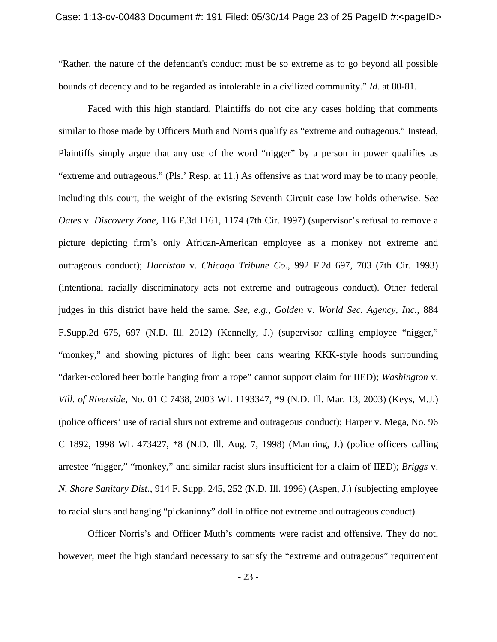"Rather, the nature of the defendant's conduct must be so extreme as to go beyond all possible bounds of decency and to be regarded as intolerable in a civilized community." *Id.* at 80-81.

Faced with this high standard, Plaintiffs do not cite any cases holding that comments similar to those made by Officers Muth and Norris qualify as "extreme and outrageous." Instead, Plaintiffs simply argue that any use of the word "nigger" by a person in power qualifies as "extreme and outrageous." (Pls.' Resp. at 11.) As offensive as that word may be to many people, including this court, the weight of the existing Seventh Circuit case law holds otherwise. S*ee Oates* v. *Discovery Zone*, 116 F.3d 1161, 1174 (7th Cir. 1997) (supervisor's refusal to remove a picture depicting firm's only African-American employee as a monkey not extreme and outrageous conduct); *Harriston* v. *Chicago Tribune Co.*, 992 F.2d 697, 703 (7th Cir. 1993) (intentional racially discriminatory acts not extreme and outrageous conduct). Other federal judges in this district have held the same. *See, e.g.*, *Golden* v. *World Sec. Agency, Inc.*, 884 F.Supp.2d 675, 697 (N.D. Ill. 2012) (Kennelly, J.) (supervisor calling employee "nigger," "monkey," and showing pictures of light beer cans wearing KKK-style hoods surrounding "darker-colored beer bottle hanging from a rope" cannot support claim for IIED); *Washington* v. *Vill. of Riverside*, No. 01 C 7438, 2003 WL 1193347, \*9 (N.D. Ill. Mar. 13, 2003) (Keys, M.J.) (police officers' use of racial slurs not extreme and outrageous conduct); Harper v. Mega, No. 96 C 1892, 1998 WL 473427, \*8 (N.D. Ill. Aug. 7, 1998) (Manning, J.) (police officers calling arrestee "nigger," "monkey," and similar racist slurs insufficient for a claim of IIED); *Briggs* v. *N. Shore Sanitary Dist.*, 914 F. Supp. 245, 252 (N.D. Ill. 1996) (Aspen, J.) (subjecting employee to racial slurs and hanging "pickaninny" doll in office not extreme and outrageous conduct).

Officer Norris's and Officer Muth's comments were racist and offensive. They do not, however, meet the high standard necessary to satisfy the "extreme and outrageous" requirement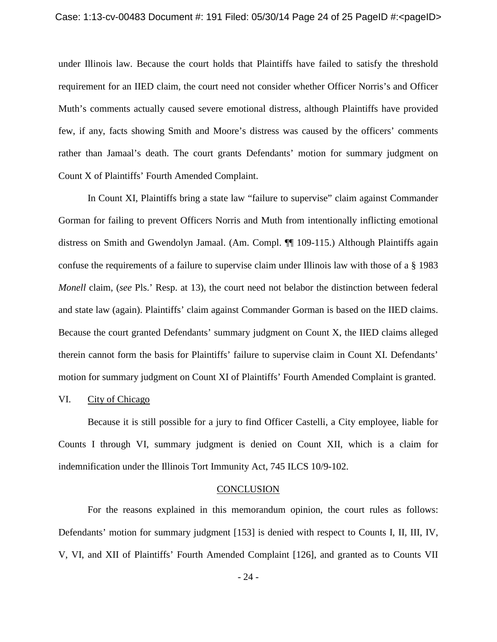under Illinois law. Because the court holds that Plaintiffs have failed to satisfy the threshold requirement for an IIED claim, the court need not consider whether Officer Norris's and Officer Muth's comments actually caused severe emotional distress, although Plaintiffs have provided few, if any, facts showing Smith and Moore's distress was caused by the officers' comments rather than Jamaal's death. The court grants Defendants' motion for summary judgment on Count X of Plaintiffs' Fourth Amended Complaint.

In Count XI, Plaintiffs bring a state law "failure to supervise" claim against Commander Gorman for failing to prevent Officers Norris and Muth from intentionally inflicting emotional distress on Smith and Gwendolyn Jamaal. (Am. Compl. ¶¶ 109-115.) Although Plaintiffs again confuse the requirements of a failure to supervise claim under Illinois law with those of a § 1983 *Monell* claim, (*see* Pls.' Resp. at 13), the court need not belabor the distinction between federal and state law (again). Plaintiffs' claim against Commander Gorman is based on the IIED claims. Because the court granted Defendants' summary judgment on Count X, the IIED claims alleged therein cannot form the basis for Plaintiffs' failure to supervise claim in Count XI. Defendants' motion for summary judgment on Count XI of Plaintiffs' Fourth Amended Complaint is granted.

### VI. City of Chicago

Because it is still possible for a jury to find Officer Castelli, a City employee, liable for Counts I through VI, summary judgment is denied on Count XII, which is a claim for indemnification under the Illinois Tort Immunity Act, 745 ILCS 10/9-102.

#### **CONCLUSION**

For the reasons explained in this memorandum opinion, the court rules as follows: Defendants' motion for summary judgment [153] is denied with respect to Counts I, II, III, IV, V, VI, and XII of Plaintiffs' Fourth Amended Complaint [126], and granted as to Counts VII